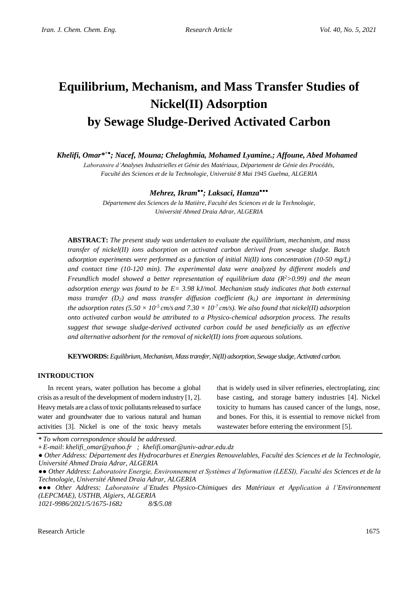# **Equilibrium, Mechanism, and Mass Transfer Studies of Nickel(II) Adsorption by Sewage Sludge-Derived Activated Carbon**

*Khelifi, Omar\* +●; Nacef, Mouna; Chelaghmia, Mohamed Lyamine.; Affoune, Abed Mohamed*

*Laboratoire d'Analyses Industrielles et Génie des Matériaux, Département de Génie des Procédés, Faculté des Sciences et de la Technologie, Université 8 Mai 1945 Guelma, ALGERIA*

## *Mehrez, Ikram●●; Laksaci, Hamza●●●*

*Département des Sciences de la Matière, Faculté des Sciences et de la Technologie, Université Ahmed Draia Adrar, ALGERIA*

**ABSTRACT:** *The present study was undertaken to evaluate the equilibrium, mechanism, and mass transfer of nickel(II) ions adsorption on activated carbon derived from sewage sludge. Batch adsorption experiments were performed as a function of initial Ni(II) ions concentration (10-50 mg/L) and contact time (10-120 min). The experimental data were analyzed by different models and Freundlich model showed a better representation of equilibrium data (R<sup>2</sup>>0.99) and the mean adsorption energy was found to be E= 3.98 kJ/mol. Mechanism study indicates that both external mass transfer (D2) and mass transfer diffusion coefficient (kL) are important in determining the adsorption rates (5.50*  $\times$  *10<sup>-5</sup> cm/s and 7.30*  $\times$  *10<sup>-7</sup> cm/s). We also found that nickel(II) adsorption onto activated carbon would be attributed to a Physico-chemical adsorption process. The results suggest that sewage sludge-derived activated carbon could be used beneficially as an effective and alternative adsorbent for the removal of nickel(II) ions from aqueous solutions.*

**KEYWORDS:** *Equilibrium, Mechanism, Mass transfer,Ni(II) adsorption, Sewage sludge,Activated carbon.*

#### **INTRODUCTION**

In recent years, water pollution has become a global crisis as a result of the development of modern industry [1, 2]. Heavy metals are a class of toxic pollutants released to surface water and groundwater due to various natural and human activities [3]. Nickel is one of the toxic heavy metals

that is widely used in silver refineries, electroplating, zinc base casting, and storage battery industries [4]. Nickel toxicity to humans has caused cancer of the lungs, nose, and bones. For this, it is essential to remove nickel from wastewater before entering the environment [5].

*\* To whom correspondence should be addressed.*

*1021-9986/2021/5/1675-1682 8/\$/5.08*

**<sup>+</sup>** *E-mail*: *khelifi\_omar@yahoo.fr ; khelifi.omar@univ-adrar.edu.dz*

<sup>●</sup> *Other Address: Département des Hydrocarbures et Energies Renouvelables, Faculté des Sciences et de la Technologie, Université Ahmed Draia Adrar, ALGERIA*

<sup>●●</sup> *Other Address*: *Laboratoire Energie, Environnement et Systèmes d'Information (LEESI), Faculté des Sciences et de la Technologie, Université Ahmed Draia Adrar, ALGERIA*

<sup>●●●</sup> *Other Address: Laboratoire d'Etudes Physico-Chimiques des Matériaux et Application à l'Environnement (LEPCMAE), USTHB, Algiers, ALGERIA*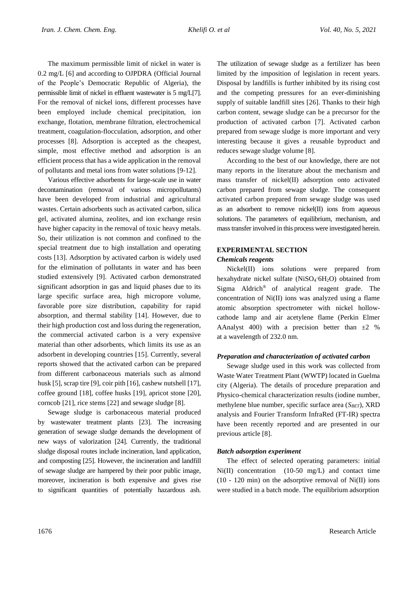The maximum permissible limit of nickel in water is 0.2 mg/L [6] and according to OJPDRA (Official Journal of the People's Democratic Republic of Algeria), the permissible limit of nickel in effluent wastewater is 5 mg/L[7]. For the removal of nickel ions, different processes have been employed include chemical precipitation, ion exchange, flotation, membrane filtration, electrochemical treatment, coagulation-flocculation, adsorption, and other processes [8]. Adsorption is accepted as the cheapest, simple, most effective method and adsorption is an efficient process that has a wide application in the removal of pollutants and metal ions from water solutions [9-12].

Various effective adsorbents for large-scale use in water decontamination (removal of various micropollutants) have been developed from industrial and agricultural wastes. Certain adsorbents such as activated carbon, silica gel, activated alumina, zeolites, and ion exchange resin have higher capacity in the removal of toxic heavy metals. So, their utilization is not common and confined to the special treatment due to high installation and operating costs [13]. Adsorption by activated carbon is widely used for the elimination of pollutants in water and has been studied extensively [9]. Activated carbon demonstrated significant adsorption in gas and liquid phases due to its large specific surface area, high micropore volume, favorable pore size distribution, capability for rapid absorption, and thermal stability [14]. However, due to their high production cost and loss during the regeneration, the commercial activated carbon is a very expensive material than other adsorbents, which limits its use as an adsorbent in developing countries [15]. Currently, several reports showed that the activated carbon can be prepared from different carbonaceous materials such as almond husk [5], scrap tire [9], coir pith [16], cashew nutshell [17], coffee ground [18], coffee husks [19], apricot stone [20], corncob [21], rice stems [22] and sewage sludge [8].

Sewage sludge is carbonaceous material produced by wastewater treatment plants [23]. The increasing generation of sewage sludge demands the development of new ways of valorization [24]. Currently, the traditional sludge disposal routes include incineration, land application, and composting [25]. However, the incineration and landfill of sewage sludge are hampered by their poor public image, moreover, incineration is both expensive and gives rise to significant quantities of potentially hazardous ash.

The utilization of sewage sludge as a fertilizer has been limited by the imposition of legislation in recent years. Disposal by landfills is further inhibited by its rising cost and the competing pressures for an ever-diminishing supply of suitable landfill sites [26]. Thanks to their high carbon content, sewage sludge can be a precursor for the production of activated carbon [7]. Activated carbon prepared from sewage sludge is more important and very interesting because it gives a reusable byproduct and reduces sewage sludge volume [8].

According to the best of our knowledge, there are not many reports in the literature about the mechanism and mass transfer of nickel(II) adsorption onto activated carbon prepared from sewage sludge. The consequent activated carbon prepared from sewage sludge was used as an adsorbent to remove nickel(II) ions from aqueous solutions. The parameters of equilibrium, mechanism, and mass transfer involved in this process were investigated herein.

## **EXPERIMENTAL SECTION**

### *Chemicals reagents*

Nickel(II) ions solutions were prepared from hexahydrate nickel sulfate (NiSO<sub>4</sub>·6H<sub>2</sub>O) obtained from Sigma Aldrich® of analytical reagent grade. The concentration of Ni(II) ions was analyzed using a flame atomic absorption spectrometer with nickel hollowcathode lamp and air acetylene flame (Perkin Elmer AAnalyst 400) with a precision better than  $\pm 2$  % at a wavelength of 232.0 nm.

## *Preparation and characterization of activated carbon*

Sewage sludge used in this work was collected from Waste Water Treatment Plant (WWTP) located in Guelma city (Algeria). The details of procedure preparation and Physico-chemical characterization results (iodine number, methylene blue number, specific surface area (*SBET*), XRD analysis and Fourier Transform InfraRed (FT-IR) spectra have been recently reported and are presented in our previous article [8].

## *Batch adsorption experiment*

The effect of selected operating parameters: initial Ni(II) concentration (10-50 mg/L) and contact time  $(10 - 120 \text{ min})$  on the adsorptive removal of Ni $(II)$  ions were studied in a batch mode. The equilibrium adsorption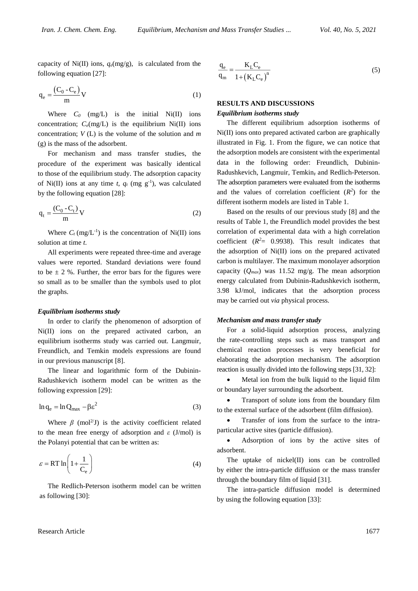capacity of Ni(II) ions,  $q_e$ (mg/g), is calculated from the following equation [27]:

$$
q_e = \frac{(C_0 - C_e)}{m} V
$$
 (1)

Where  $C_0$  (mg/L) is the initial Ni(II) ions concentration;  $C_e(mg/L)$  is the equilibrium Ni(II) ions concentration; *V* (L) is the volume of the solution and *m* (g) is the mass of the adsorbent.

For mechanism and mass transfer studies, the procedure of the experiment was basically identical to those of the equilibrium study. The adsorption capacity of Ni(II) ions at any time *t*,  $q_t$  (mg  $g^{-1}$ ), was calculated by the following equation [28]:

$$
q_t = \frac{(C_0 - C_t)}{m} V
$$
 (2)

Where  $C_t$  (mg/L<sup>-1</sup>) is the concentration of Ni(II) ions solution at time *t*.

All experiments were repeated three-time and average values were reported. Standard deviations were found to be  $\pm$  2 %. Further, the error bars for the figures were so small as to be smaller than the symbols used to plot the graphs.

#### *Equilibrium isotherms study*

In order to clarify the phenomenon of adsorption of Ni(II) ions on the prepared activated carbon, an equilibrium isotherms study was carried out. Langmuir, Freundlich, and Temkin models expressions are found in our previous manuscript [8].

The linear and logarithmic form of the Dubinin-Radushkevich isotherm model can be written as the following expression [29]:

$$
\ln q_e = \ln Q_{\text{max}} - \beta \varepsilon^2 \tag{3}
$$

Where  $\beta$  (mol<sup>2/</sup>J) is the activity coefficient related to the mean free energy of adsorption and *ε* (J/mol) is the Polanyi potential that can be written as:

$$
\varepsilon = RT \ln \left( 1 + \frac{1}{C_e} \right) \tag{4}
$$

The Redlich-Peterson isotherm model can be written as following [30]:

$$
\frac{q_e}{q_m} = \frac{K_L C_e}{1 + (K_L C_e)^n}
$$
\n(5)

## **RESULTS AND DISCUSSIONS**

#### *Equilibrium isotherms study*

The different equilibrium adsorption isotherms of Ni(II) ions onto prepared activated carbon are graphically illustrated in Fig. 1. From the figure, we can notice that the adsorption models are consistent with the experimental data in the following order: Freundlich, Dubinin-Radushkevich, Langmuir, Temkin, and Redlich-Peterson. The adsorption parameters were evaluated from the isotherms and the values of correlation coefficient  $(R^2)$  for the different isotherm models are listed in Table 1.

Based on the results of our previous study [8] and the results of Table 1, the Freundlich model provides the best correlation of experimental data with a high correlation coefficient  $(R^2 = 0.9938)$ . This result indicates that the adsorption of Ni(II) ions on the prepared activated carbon is multilayer. The maximum monolayer adsorption capacity (*Qmax*) was 11.52 mg/g. The mean adsorption energy calculated from Dubinin-Radushkevich isotherm, 3.98 kJ/mol*,* indicates that the adsorption process may be carried out *via* physical process.

#### *Mechanism and mass transfer study*

For a solid-liquid adsorption process, analyzing the rate-controlling steps such as mass transport and chemical reaction processes is very beneficial for elaborating the adsorption mechanism. The adsorption reaction is usually divided into the following steps [31, 32]:

 Metal ion from the bulk liquid to the liquid film or boundary layer surrounding the adsorbent.

• Transport of solute ions from the boundary film to the external surface of the adsorbent (film diffusion).

• Transfer of ions from the surface to the intraparticular active sites (particle diffusion).

 Adsorption of ions by the active sites of adsorbent.

The uptake of nickel(II) ions can be controlled by either the intra-particle diffusion or the mass transfer through the boundary film of liquid [31].

The intra-particle diffusion model is determined by using the following equation [33]: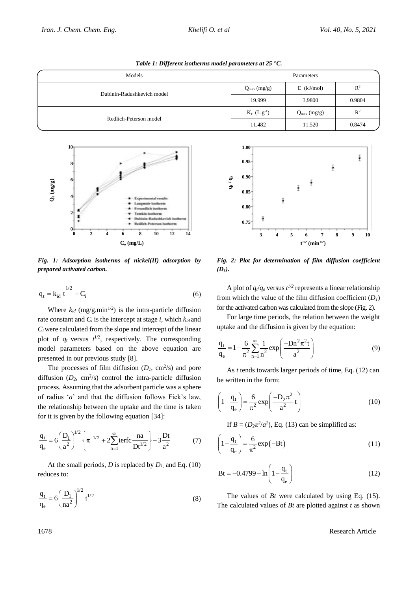| Models                     | Parameters              |                         |                |  |
|----------------------------|-------------------------|-------------------------|----------------|--|
| Dubinin-Radushkevich model | $Q_{\text{max}}$ (mg/g) | $E$ (kJ/mol)            | $\mathbb{R}^2$ |  |
|                            | 19.999                  | 3.9800                  | 0.9804         |  |
|                            | $K_F$ (L $g^{-1}$ )     | $Q_{\text{max}}$ (mg/g) | $\mathbb{R}^2$ |  |
| Redlich-Peterson model     | 11.482                  | 11.520                  | 0.8474         |  |





*Fig. 1: Adsorption isotherms of nickel(II) adsorption by prepared activated carbon.*

$$
q_{t} = k_{id} t^{1/2} + C_{i}
$$
 (6)

Where  $k_{id}$  (mg/g.min<sup>1/2</sup>) is the intra-particle diffusion rate constant and  $C_i$  is the intercept at stage *i*, which  $k_{id}$  and  $C_i$  were calculated from the slope and intercept of the linear plot of  $q_t$  versus  $t^{1/2}$ , respectively. The corresponding model parameters based on the above equation are presented in our previous study [8].

The processes of film diffusion  $(D_1, \text{ cm}^2/\text{s})$  and pore diffusion  $(D_2, \text{ cm}^2/\text{s})$  control the intra-particle diffusion process. Assuming that the adsorbent particle was a sphere of radius '*a*' and that the diffusion follows Fick's law, the relationship between the uptake and the time is taken for it is given by the following equation [34]:

$$
\frac{q_t}{q_e} = 6 \left( \frac{D_1}{a^2} \right)^{1/2} \left\{ \pi^{-1/2} + 2 \sum_{n=1}^{\infty} i \text{erfc} \frac{na}{Dt^{1/2}} \right\} - 3 \frac{Dt}{a^2}
$$
 (7)

At the small periods, *D* is replaced by  $D_l$  and Eq. (10) reduces to:

$$
\frac{q_t}{q_e} = 6 \left( \frac{D_1}{na^2} \right)^{1/2} t^{1/2}
$$
 (8)



*Fig. 2: Plot for determination of film diffusion coefficient (D1).*

A plot of  $q_t/q_e$  versus  $t^{1/2}$  represents a linear relationship from which the value of the film diffusion coefficient  $(D<sub>1</sub>)$ for the activated carbon was calculated from the slope (Fig. 2).

For large time periods, the relation between the weight uptake and the diffusion is given by the equation:

$$
\frac{q_t}{q_e} = 1 - \frac{6}{\pi^2} \sum_{n=1}^{\infty} \frac{1}{n^2} \exp\left(\frac{-Dn^2 \pi^2 t}{a^2}\right)
$$
(9)

As *t* tends towards larger periods of time, Eq. (12) can be written in the form:

$$
\left(1 - \frac{q_t}{q_e}\right) = \frac{6}{\pi^2} \exp\left(\frac{-D_2 \pi^2}{a^2} t\right)
$$
 (10)

If  $B = (D_2 \pi^2/a^2)$ , Eq. (13) can be simplified as:

$$
\left(1 - \frac{q_t}{q_e}\right) = \frac{6}{\pi^2} \exp(-Bt)
$$
\n(11)

$$
Bt = -0.4799 - \ln\left(1 - \frac{q_t}{q_e}\right)
$$
 (12)

The values of *Bt* were calculated by using Eq. (15). The calculated values of *Bt* are plotted against *t* as shown

1678 Research Article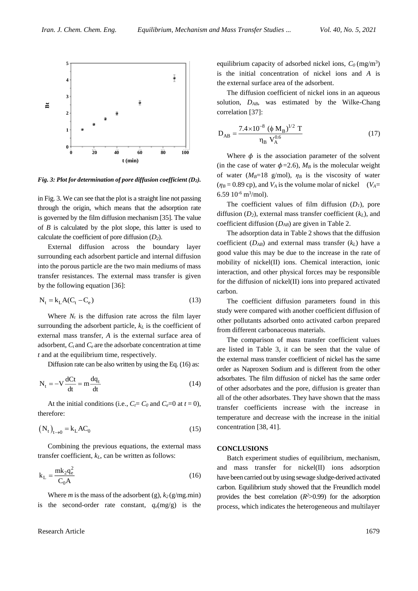

*Fig. 3: Plot for determination of pore diffusion coefficient (D2).*

in Fig. 3. We can see that the plot is a straight line not passing through the origin, which means that the adsorption rate is governed by the film diffusion mechanism [35]. The value of *B* is calculated by the plot slope, this latter is used to calculate the coefficient of pore diffusion (*D2*).

External diffusion across the boundary layer surrounding each adsorbent particle and internal diffusion into the porous particle are the two main mediums of mass transfer resistances. The external mass transfer is given by the following equation [36]:

$$
N_t = k_L A (C_t - C_e)
$$
\n(13)

Where  $N_t$  is the diffusion rate across the film layer surrounding the adsorbent particle, *k<sup>L</sup>* is the coefficient of external mass transfer, *A* is the external surface area of adsorbent, *C<sup>t</sup>* and *C<sup>e</sup>* are the adsorbate concentration at time *t* and at the equilibrium time, respectively.

Diffusion rate can be also written by using the Eq. (16) as:

$$
N_t = -V \frac{dCt}{dt} = m \frac{dq_t}{dt}
$$
 (14)

At the initial conditions (i.e.,  $C_f = C_0$  and  $C_e = 0$  at  $t = 0$ ), therefore:

$$
\left(\mathbf{N}_{\mathrm{t}}\right)_{\mathrm{t}\to\mathrm{0}} = \mathbf{k}_{\mathrm{L}} \mathbf{A} \mathbf{C}_{\mathrm{0}} \tag{15}
$$

Combining the previous equations, the external mass transfer coefficient, *kL*, can be written as follows:

$$
k_{L} = \frac{mk_{2}q_{e}^{2}}{C_{0}A}
$$
 (16)

Where *m* is the mass of the adsorbent (g),  $k_2$  (g/mg.min) is the second-order rate constant,  $q_e(mg/g)$  is the

Research Article 1679

equilibrium capacity of adsorbed nickel ions,  $C_0$  (mg/m<sup>3</sup>) is the initial concentration of nickel ions and *A* is the external surface area of the adsorbent.

The diffusion coefficient of nickel ions in an aqueous solution, *DAB*, was estimated by the Wilke-Chang correlation [37]:

$$
D_{AB} = \frac{7.4 \times 10^{-8} (\phi M_B)^{1/2} T}{\eta_B V_A^{0.6}}
$$
 (17)

Where  $\phi$  is the association parameter of the solvent (in the case of water  $\phi = 2.6$ ),  $M_B$  is the molecular weight of water ( $M_B$ =18 g/mol),  $\eta_B$  is the viscosity of water  $(\eta_B = 0.89 \text{ cp})$ , and  $V_A$  is the volume molar of nickel ( $V_A =$ 6.59 10-6 m<sup>3</sup> /mol).

The coefficient values of film diffusion  $(D_1)$ , pore diffusion (*D2*), external mass transfer coefficient (*kL*), and coefficient diffusion (*DAB*) are given in Table 2.

The adsorption data in Table 2 shows that the diffusion coefficient  $(D_{AB})$  and external mass transfer  $(k_L)$  have a good value this may be due to the increase in the rate of mobility of nickel(II) ions. Chemical interaction, ionic interaction, and other physical forces may be responsible for the diffusion of nickel(II) ions into prepared activated carbon.

The coefficient diffusion parameters found in this study were compared with another coefficient diffusion of other pollutants adsorbed onto activated carbon prepared from different carbonaceous materials.

The comparison of mass transfer coefficient values are listed in Table 3, it can be seen that the value of the external mass transfer coefficient of nickel has the same order as Naproxen Sodium and is different from the other adsorbates. The film diffusion of nickel has the same order of other adsorbates and the pore, diffusion is greater than all of the other adsorbates. They have shown that the mass transfer coefficients increase with the increase in temperature and decrease with the increase in the initial concentration [38, 41].

#### **CONCLUSIONS**

Batch experiment studies of equilibrium, mechanism, and mass transfer for nickel(II) ions adsorption have been carried out by using sewage sludge-derived activated carbon. Equilibrium study showed that the Freundlich model provides the best correlation  $(R^2>0.99)$  for the adsorption process, which indicates the heterogeneous and multilayer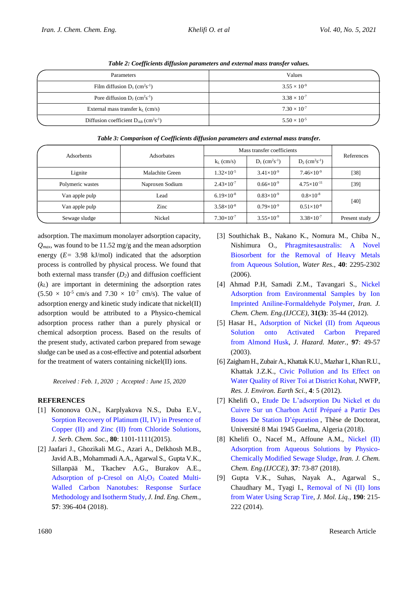| Parameters                                                        | Values                |
|-------------------------------------------------------------------|-----------------------|
| Film diffusion $D_1$ (cm <sup>2</sup> s <sup>-1</sup> )           | $3.55 \times 10^{-9}$ |
| Pore diffusion $D_2$ (cm <sup>2</sup> s <sup>-1</sup> )           | $3.38 \times 10^{-7}$ |
| External mass transfer $k_L$ (cm/s)                               | $7.30 \times 10^{-7}$ |
| Diffusion coefficient $D_{AB}$ (cm <sup>2</sup> s <sup>-1</sup> ) | $5.50 \times 10^{-5}$ |

*Table 2: Coefficients diffusion parameters and external mass transfer values.*

*Table 3: Comparison of Coefficients diffusion parameters and external mass transfer.*

| <b>Adsorbents</b> | Adsorbates      | Mass transfer coefficients |                                          |                                          | References    |
|-------------------|-----------------|----------------------------|------------------------------------------|------------------------------------------|---------------|
|                   |                 | $k_L$ (cm/s)               | $D_1$ (cm <sup>2</sup> s <sup>-1</sup> ) | $D_2$ (cm <sup>2</sup> s <sup>-1</sup> ) |               |
| Lignite           | Malachite Green | $1.32\times10^{-5}$        | $3.41\times10^{-9}$                      | $7.46\times10^{-9}$                      | $[38]$        |
| Polymeric wastes  | Naproxen Sodium | $2.43\times10^{-7}$        | $0.66\times10^{-9}$                      | $4.75 \times 10^{-11}$                   | $[39]$        |
| Van apple pulp    | Lead            | $6.19\times10^{-8}$        | $0.83\times10^{-9}$                      | $0.8\times10^{-8}$                       | $[40]$        |
| Van apple pulp    | Zinc            | $3.58\times10^{-8}$        | $0.79\times10^{-9}$                      | $0.51\times10^{-8}$                      |               |
| Sewage sludge     | Nickel          | $7.30\times10^{-7}$        | $3.55 \times 10^{-9}$                    | $3.38 \times 10^{-7}$                    | Present study |

adsorption. The maximum monolayer adsorption capacity, *Qmax*, was found to be 11.52 mg/g and the mean adsorption energy (*E=* 3.98 kJ/mol) indicated that the adsorption process is controlled by physical process. We found that both external mass transfer (*D2*) and diffusion coefficient  $(k<sub>L</sub>)$  are important in determining the adsorption rates  $(5.50 \times 10^{-5} \text{ cm/s} \text{ and } 7.30 \times 10^{-7} \text{ cm/s}).$  The value of adsorption energy and kinetic study indicate that nickel(II) adsorption would be attributed to a Physico-chemical adsorption process rather than a purely physical or chemical adsorption process. Based on the results of the present study, activated carbon prepared from sewage sludge can be used as a cost-effective and potential adsorbent for the treatment of waters containing nickel(II) ions.

*Received : Feb. 1, 2020 ; Accepted : June 15, 2020*

## **REFERENCES**

- [1] Kononova O.N., Karplyakova N.S., Duba E.V., [Sorption Recovery of Platinum \(II, IV\) in Presence of](https://www.shd-pub.org.rs/index.php/JSCS/article/view/JSCS%E2%80%934787)  [Copper \(II\) and Zinc \(II\) from Chloride Solutions,](https://www.shd-pub.org.rs/index.php/JSCS/article/view/JSCS%E2%80%934787) *J. Serb. Chem. Soc.*, **80**: 1101-1111(2015).
- [2] [Jaafari](https://www.sciencedirect.com/science/article/abs/pii/S1226086X17304677#!) J., [Ghozikali](https://www.sciencedirect.com/science/article/abs/pii/S1226086X17304677#!) M.G., [Azari](https://www.sciencedirect.com/science/article/abs/pii/S1226086X17304677#!) A., [Delkhosh](https://www.sciencedirect.com/science/article/abs/pii/S1226086X17304677#!) M.B., [Javid](https://www.sciencedirect.com/science/article/abs/pii/S1226086X17304677#!) A.B.[, Mohammadi](https://www.sciencedirect.com/science/article/abs/pii/S1226086X17304677#!) A.A., [Agarwal](https://www.sciencedirect.com/science/article/abs/pii/S1226086X17304677#!) S.[, Gupta](https://www.sciencedirect.com/science/article/abs/pii/S1226086X17304677#!) V.K., [Sillanpää](https://www.sciencedirect.com/science/article/abs/pii/S1226086X17304677#!) M., [Tkachev](https://www.sciencedirect.com/science/article/abs/pii/S1226086X17304677#!) A.G., [Burakov](https://www.sciencedirect.com/science/article/abs/pii/S1226086X17304677#!) A.E., Adsorption of p-Cresol on  $Al_2O_3$  Coated Multi-[Walled Carbon Nanotubes: Response Surface](https://www.sciencedirect.com/science/article/abs/pii/S1226086X17304677)  [Methodology and Isotherm Study,](https://www.sciencedirect.com/science/article/abs/pii/S1226086X17304677) *J. Ind. Eng. Chem.*, **57**: 396-404 (2018).
- [3] Southichak B., Nakano K., Nomura M., Chiba N., Nishimura O., [Phragmitesaustralis: A Novel](https://www.ncbi.nlm.nih.gov/pubmed/16766011)  [Biosorbent for the Removal of Heavy Metals](https://www.ncbi.nlm.nih.gov/pubmed/16766011)  [from Aqueous Solution,](https://www.ncbi.nlm.nih.gov/pubmed/16766011) *Water Res.*, **40**: 2295-2302 (2006).
- [4] Ahmad P.H, Samadi Z.M., Tavangari S., [Nickel](http://www.ijcce.ac.ir/?_action=articleInfo&article=5949)  [Adsorption from Environmental Samples by Ion](http://www.ijcce.ac.ir/?_action=articleInfo&article=5949)  [Imprinted Aniline-Formaldehyde Polymer,](http://www.ijcce.ac.ir/?_action=articleInfo&article=5949) *Iran. J. Chem. Chem. Eng.(IJCCE)*, **31(3)**: 35-44 (2012).
- [5] Hasar H., [Adsorption of Nickel \(II\) from Aqueous](http://www.sciencedirect.com/science/article/pii/S0304389402002376)  [Solution onto Activated Carbon Prepared](http://www.sciencedirect.com/science/article/pii/S0304389402002376)  [from Almond Husk,](http://www.sciencedirect.com/science/article/pii/S0304389402002376) *J. Hazard. Mater.*, **97**: 49-57 (2003).
- [6] Zaigham H., Zubair A., Khattak K.U., Mazhar I., Khan R.U., Khattak J.Z.K., [Civic Pollution and Its Effect on](https://www.academia.edu/35564250/Civic_Pollution_and_Its_Effect_on_Water_Quality_of_River_Toi_at_District_Kohat_NWFP)  [Water Quality of River Toi at District Kohat,](https://www.academia.edu/35564250/Civic_Pollution_and_Its_Effect_on_Water_Quality_of_River_Toi_at_District_Kohat_NWFP) NWFP, *Res. J. Environ. Earth Sci.*, **4**: 5 (2012).
- [7] Khelifi O., [Etude De L'adsorption Du Nickel et du](https://www.researchgate.net/publication/326447973_Etude_de_l)  [Cuivre Sur un Charbon Actif Préparé a](https://www.researchgate.net/publication/326447973_Etude_de_l) Partir Des [Boues De Station D'épuration](https://www.researchgate.net/publication/326447973_Etude_de_l) , Thèse de Doctorat, Université 8 Mai 1945 Guelma, Algeria (2018).
- [8] Khelifi O., Nacef M., Affoune A.M., [Nickel \(II\)](http://www.ijcce.ac.ir/article_29994.html)  [Adsorption from Aqueous Solutions by Physico-](http://www.ijcce.ac.ir/article_29994.html)[Chemically Modified Sewage Sludge,](http://www.ijcce.ac.ir/article_29994.html) *Iran. J. Chem. Chem. Eng.(IJCCE)*, **37**: 73-87 (2018).
- [9] Gupta V.K., Suhas, Nayak A., Agarwal S., Chaudhary M., Tyagi I., [Removal of Ni \(II\) Ions](http://www.sciencedirect.com/science/article/pii/S0167732213003711)  [from Water Using Scrap Tire,](http://www.sciencedirect.com/science/article/pii/S0167732213003711) *J. Mol. Liq.*, **190**: 215- 222 (2014).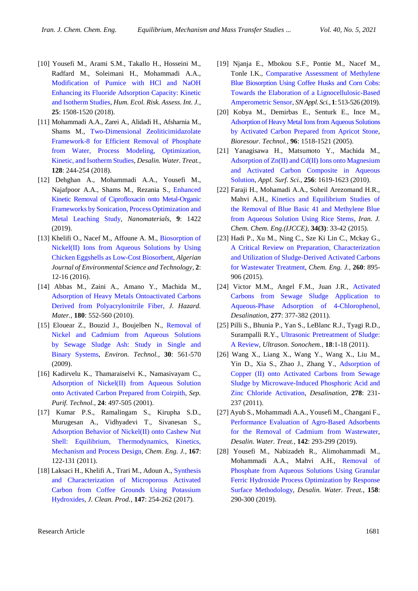- [10] Yousefi M., Arami S.M., Takallo H., Hosseini M., Radfard M., Soleimani H., Mohammadi A.A., [Modification of Pumice with HCl and NaOH](https://www.tandfonline.com/doi/abs/10.1080/10807039.2018.1469968?journalCode=bher20)  Enhancing its Fluoride [Adsorption Capacity: Kinetic](https://www.tandfonline.com/doi/abs/10.1080/10807039.2018.1469968?journalCode=bher20)  [and Isotherm Studies,](https://www.tandfonline.com/doi/abs/10.1080/10807039.2018.1469968?journalCode=bher20) *Hum. Ecol. Risk. Assess. Int. J.*, **25**: 1508-1520 (2018).
- [11] Mohammadi A.A., Zarei A., Alidadi H., Afsharnia M., Shams M., [Two-Dimensional Zeoliticimidazolate](https://www.deswater.com/DWT_abstracts/vol_129/129_2018_244.pdf)  [Framework-8 for Efficient Removal of Phosphate](https://www.deswater.com/DWT_abstracts/vol_129/129_2018_244.pdf)  [from Water, Process Modeling, Optimization,](https://www.deswater.com/DWT_abstracts/vol_129/129_2018_244.pdf)  [Kinetic, and Isotherm Studies,](https://www.deswater.com/DWT_abstracts/vol_129/129_2018_244.pdf) *Desalin. Water. Treat.*, **128**: 244-254 (2018).
- [12] [Dehghan A.](https://www.ncbi.nlm.nih.gov/pubmed/?term=Dehghan%20A%5BAuthor%5D&cauthor=true&cauthor_uid=31597245), [Mohammadi A.A.,](https://www.ncbi.nlm.nih.gov/pubmed/?term=Mohammadi%20AA%5BAuthor%5D&cauthor=true&cauthor_uid=31597245) [Yousefi M.,](https://www.ncbi.nlm.nih.gov/pubmed/?term=Yousefi%20M%5BAuthor%5D&cauthor=true&cauthor_uid=31597245) [Najafpoor A.A.](https://www.ncbi.nlm.nih.gov/pubmed/?term=Najafpoor%20AA%5BAuthor%5D&cauthor=true&cauthor_uid=31597245), [Shams M.,](https://www.ncbi.nlm.nih.gov/pubmed/?term=Shams%20M%5BAuthor%5D&cauthor=true&cauthor_uid=31597245) [Rezania S.,](https://www.ncbi.nlm.nih.gov/pubmed/?term=Rezania%20S%5BAuthor%5D&cauthor=true&cauthor_uid=31597245) [Enhanced](https://www.ncbi.nlm.nih.gov/pubmed/31597245)  [Kinetic Removal of Ciprofloxacin onto Metal-Organic](https://www.ncbi.nlm.nih.gov/pubmed/31597245) [Frameworks by Sonication, Process Optimization and](https://www.ncbi.nlm.nih.gov/pubmed/31597245)  [Metal Leaching Study,](https://www.ncbi.nlm.nih.gov/pubmed/31597245) *[Nanomaterials](https://www.ncbi.nlm.nih.gov/pubmed/31597245)*, **9**: 1422 (2019).
- [13] Khelifi O., Nacef M., Affoune A. M., [Biosorption of](https://www.aljest.org/index.php/aljest/article/view/152)  [Nickel\(II\) Ions from Aqueous Solutions by Using](https://www.aljest.org/index.php/aljest/article/view/152)  [Chicken Eggshells as Low-Cost Biosorbent,](https://www.aljest.org/index.php/aljest/article/view/152) *Algerian Journal of Environmental Science and Technology*, **2**: 12-16 (2016).
- [14] Abbas M., Zaini A., Amano Y., Machida M., [Adsorption of Heavy Metals Ontoactivated Carbons](https://www.sciencedirect.com/science/article/pii/S0304389410005157)  Derived [from Polyacrylonitrile Fiber,](https://www.sciencedirect.com/science/article/pii/S0304389410005157) *J. Hazard. Mater.*, **180**: 552-560 (2010).
- [15] Elouear Z., Bouzid J., Boujelben N., [Removal of](http://www.tandfonline.com/doi/abs/10.1080/09593330902824940)  [Nickel and Cadmium from Aqueous Solutions](http://www.tandfonline.com/doi/abs/10.1080/09593330902824940)  [by Sewage Sludge Ash: Study in Single and](http://www.tandfonline.com/doi/abs/10.1080/09593330902824940)  [Binary Systems,](http://www.tandfonline.com/doi/abs/10.1080/09593330902824940) *Environ. Technol.*, **30**: 561-570 (2009).
- [16] Kadirvelu K., Thamaraiselvi K., Namasivayam C., [Adsorption of Nickel\(II\) from Aqueous Solution](http://www.sciencedirect.com/science/article/pii/S1383586601001496)  [onto Activated Carbon Prepared from Coirpith,](http://www.sciencedirect.com/science/article/pii/S1383586601001496) *Sep. Purif. Technol.*, **24**: 497-505 (2001).
- [17] Kumar P.S., Ramalingam S., Kirupha S.D., Murugesan A., Vidhyadevi T., Sivanesan S., [Adsorption Behavior of Nickel\(II\) onto Cashew Nut](http://www.sciencedirect.com/science/article/pii/S1385894710012143)  [Shell: Equilibrium, Thermodynamics, Kinetics,](http://www.sciencedirect.com/science/article/pii/S1385894710012143)  [Mechanism and Process Design,](http://www.sciencedirect.com/science/article/pii/S1385894710012143) *Chem. Eng. J.*, **167**: 122-131 (2011).
- [18] Laksaci H., Khelifi A., Trari M., Adoun A., [Synthesis](https://www.sciencedirect.com/science/article/pii/S0959652617301178)  [and Characterization of Microporous Activated](https://www.sciencedirect.com/science/article/pii/S0959652617301178)  [Carbon from Coffee Grounds Using Potassium](https://www.sciencedirect.com/science/article/pii/S0959652617301178)  [Hydroxides,](https://www.sciencedirect.com/science/article/pii/S0959652617301178) *J. Clean. Prod.*, **147**: 254-262 (2017).
- [19] Njanja E., Mbokou S.F., Pontie M., Nacef M., Tonle I.K., [Comparative Assessment of Methylene](https://link.springer.com/article/10.1007/s42452-019-0520-6)  [Blue Biosorption Using Coffee Husks and Corn Cobs:](https://link.springer.com/article/10.1007/s42452-019-0520-6) [Towards the Elaboration of a](https://link.springer.com/article/10.1007/s42452-019-0520-6) Lignocellulosic-Based [Amperometric Sensor,](https://link.springer.com/article/10.1007/s42452-019-0520-6) *[SN Appl. Sci.](file:///D:/Production%20scientifique/Mes%20Articles/Deuxième%20article/JSCS/SN%20Appl.%20Sci)*, **1**: 513-526 (2019).
- [20] Kobya M., Demirbas E., Senturk E., Ince M., [Adsorption of Heavy Metal Ions from Aqueous Solutions](http://www.sciencedirect.com/science/article/pii/S0960852405000039) [by Activated Carbon Prepared from Apricot Stone,](http://www.sciencedirect.com/science/article/pii/S0960852405000039) *Bioresour. Technol.*, **96**: 1518-1521 (2005).
- [21] Yanagisawa H., Matsumoto Y., Machida M., [Adsorption of Zn\(II\) and Cd\(II\) Ions onto Magnesium](https://www.sciencedirect.com/science/article/pii/S0169433209014421)  [and Activated Carbon Composite in Aqueous](https://www.sciencedirect.com/science/article/pii/S0169433209014421)  [Solution,](https://www.sciencedirect.com/science/article/pii/S0169433209014421) *Appl. Surf. Sci.*, **256**: 1619-1623 (2010).
- [22] Faraji H., Mohamadi A.A., Soheil Arezomand H.R., Mahvi A.H., [Kinetics and Equilibrium Studies of](http://www.ijcce.ac.ir/article_14750.html)  [the Removal of Blue Basic 41 and Methylene Blue](http://www.ijcce.ac.ir/article_14750.html)  [from Aqueous Solution Using Rice Stems,](http://www.ijcce.ac.ir/article_14750.html) *Iran. J. Chem. Chem. Eng.(IJCCE)*, **34(3)**: 33-42 (2015).
- [23] Hadi P., Xu M., Ning C., Sze Ki Lin C., Mckay G., [A Critical Review on Preparation, Characterization](http://www.sciencedirect.com/science/article/pii/S138589471401153X)  [and Utilization of Sludge-Derived Activated Carbons](http://www.sciencedirect.com/science/article/pii/S138589471401153X)  [for Wastewater Treatment,](http://www.sciencedirect.com/science/article/pii/S138589471401153X) *Chem. Eng. J.*, **260**: 895- 906 (2015).
- [24] Victor M.M., Angel F.M., Juan J.R., [Activated](http://www.sciencedirect.com/science/article/pii/S0011916411003973)  [Carbons from Sewage Sludge Application to](http://www.sciencedirect.com/science/article/pii/S0011916411003973)  [Aqueous-Phase Adsorption of 4-Chlorophenol,](http://www.sciencedirect.com/science/article/pii/S0011916411003973) *Desalination*, **277**: 377-382 (2011).
- [25] Pilli S., Bhunia P., Yan S., LeBlanc R.J., Tyagi R.D., Surampalli R.Y., [Ultrasonic Pretreatment of Sludge:](https://www.sciencedirect.com/science/article/abs/pii/S1350417710000453)  [A Review,](https://www.sciencedirect.com/science/article/abs/pii/S1350417710000453) *Ultrason. Sonochem.*, **18**:1-18 (2011).
- [26] Wang X., Liang X., Wang Y., Wang X., Liu M., Yin D., Xia S., Zhao J., Zhang Y., [Adsorption of](http://www.sciencedirect.com/science/article/pii/S0011916411004449)  [Copper \(II\) onto Activated Carbons from Sewage](http://www.sciencedirect.com/science/article/pii/S0011916411004449)  [Sludge by Microwave-Induced Phosphoric Acid and](http://www.sciencedirect.com/science/article/pii/S0011916411004449)  [Zinc Chloride Activation,](http://www.sciencedirect.com/science/article/pii/S0011916411004449) *Desalination*, **278**: 231- 237 (2011).
- [27] Ayub S., Mohammadi A.A., Yousefi M., Changani F., Performance Evaluation [of Agro-Based Adsorbents](https://www.deswater.com/DWT_abstracts/vol_142/142_2019_293.pdf)  [for the Removal of Cadmium from Wastewater,](https://www.deswater.com/DWT_abstracts/vol_142/142_2019_293.pdf) *Desalin. Water. Treat.*, **142**: 293-299 (2019).
- [28] Yousefi M., Nabizadeh R., Alimohammadi M., Mohammadi A.A., Mahvi A.H., [Removal of](https://www.deswater.com/DWT_abstracts/vol_158/158_2019_290.pdf)  [Phosphate from Aqueous Solutions Using Granular](https://www.deswater.com/DWT_abstracts/vol_158/158_2019_290.pdf)  [Ferric Hydroxide Process Optimization by Response](https://www.deswater.com/DWT_abstracts/vol_158/158_2019_290.pdf)  [Surface Methodology,](https://www.deswater.com/DWT_abstracts/vol_158/158_2019_290.pdf) *Desalin. Water. Treat.*, **158**: 290-300 (2019).